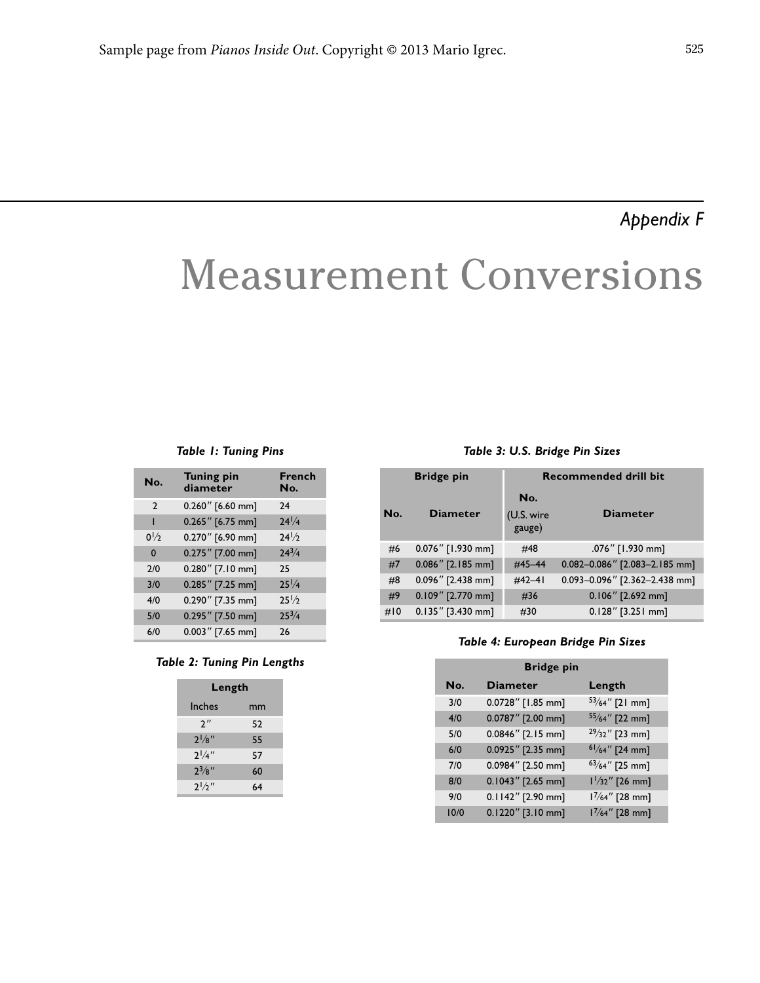## *Appendix F*

# Measurement Conversions

#### *Table 1: Tuning Pins*

| No.            | <b>Tuning pin</b><br>diameter | French<br>No.   |
|----------------|-------------------------------|-----------------|
| $\mathcal{P}$  | 0.260" [6.60 mm]              | 24              |
| П              | $0.265''$ [6.75 mm]           | $24^{1}/4$      |
| $0\frac{1}{2}$ | 0.270" [6.90 mm]              | $24\frac{1}{2}$ |
| $\Omega$       | 0.275" [7.00 mm]              | $74^{3}/4$      |
| 7/0            | $0.280''$ [7.10 mm]           | 25              |
| 3/0            | $0.285''$ [7.25 mm]           | $25\frac{1}{4}$ |
| 4/0            | $0.290''$ [7.35 mm]           | $25\frac{1}{2}$ |
| 5/0            | 0.295" [7.50 mm]              | $2.5^{3}/4$     |
| 6/0            | $0.003$ " [7.65 mm]           | 26              |

*Table 2: Tuning Pin Lengths*

| Length             |    |  |  |
|--------------------|----|--|--|
| Inches             | mm |  |  |
| $2^{\prime\prime}$ | 52 |  |  |
| $2^{1}/8$ "        | 55 |  |  |
| $2^{1/4}$          | 57 |  |  |
| $2^{3}/8$ "        | 60 |  |  |
| 21/2"              | 64 |  |  |

### *Table 3: U.S. Bridge Pin Sizes*

| <b>Bridge pin</b> |                      | <b>Recommended drill bit</b> |                               |  |
|-------------------|----------------------|------------------------------|-------------------------------|--|
| No.               | <b>Diameter</b>      | No.<br>(U.S. wire<br>gauge)  | <b>Diameter</b>               |  |
| #6                | 0.076" [1.930 mm]    | #48                          | .076" [1.930 mm]              |  |
| #7                | $0.086''$ [2.185 mm] | #45-44                       | 0.082-0.086" [2.083-2.185 mm] |  |
| #8                | $0.096''$ [2.438 mm] | $\#42 - 41$                  | 0.093-0.096" [2.362-2.438 mm] |  |
| #9                | $0.109''$ [2.770 mm] | #36                          | $0.106''$ [2.692 mm]          |  |
| #10               | $0.135''$ [3.430 mm] | #30                          | $0.128''$ [3.251 mm]          |  |

#### *Table 4: European Bridge Pin Sizes*

| <b>Bridge pin</b> |                      |                           |  |  |
|-------------------|----------------------|---------------------------|--|--|
| No.               | <b>Diameter</b>      | Length                    |  |  |
| 3/0               | 0.0728" [1.85 mm]    | $53/64''$ [21 mm]         |  |  |
| 4/0               | 0.0787" [2.00 mm]    | $55/64''$ [22 mm]         |  |  |
| 5/0               | 0.0846" [2.15 mm]    | $29/32''$ [23 mm]         |  |  |
| 6/0               | 0.0925" [2.35 mm]    | $61/64''$ [24 mm]         |  |  |
| 7/0               | 0.0984" [2.50 mm]    | $63/64$ " [25 mm]         |  |  |
| 8/0               | $0.1043''$ [2.65 mm] | $1\frac{1}{32}$ " [26 mm] |  |  |
| 9/0               | 0.1142" [2.90 mm]    | $1\frac{7}{64}$ " [28 mm] |  |  |
| 10/0              | 0.1220" [3.10 mm]    | $1\frac{7}{64}$ " [28 mm] |  |  |